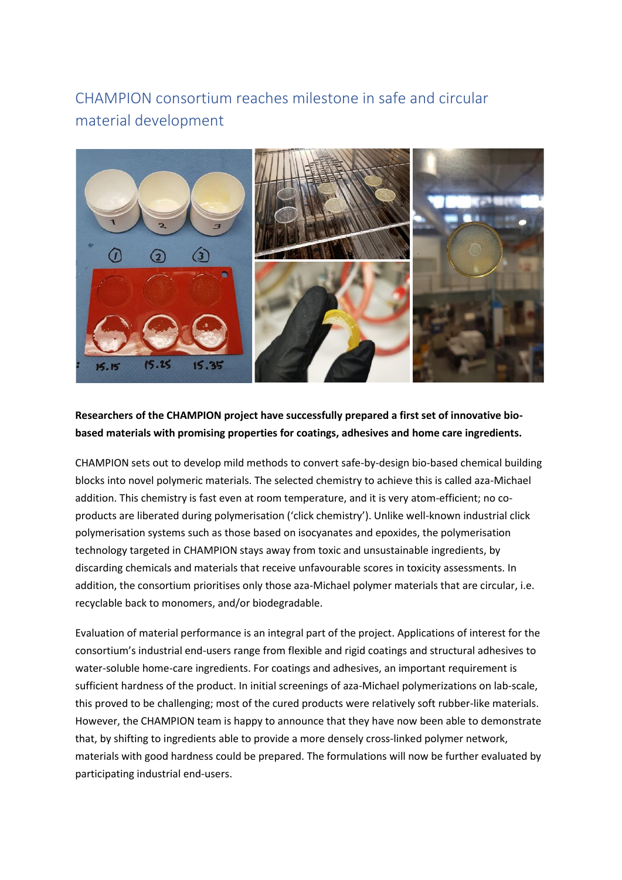## CHAMPION consortium reaches milestone in safe and circular material development



## **Researchers of the CHAMPION project have successfully prepared a first set of innovative biobased materials with promising properties for coatings, adhesives and home care ingredients.**

CHAMPION sets out to develop mild methods to convert safe-by-design bio-based chemical building blocks into novel polymeric materials. The selected chemistry to achieve this is called aza-Michael addition. This chemistry is fast even at room temperature, and it is very atom-efficient; no coproducts are liberated during polymerisation ('click chemistry'). Unlike well-known industrial click polymerisation systems such as those based on isocyanates and epoxides, the polymerisation technology targeted in CHAMPION stays away from toxic and unsustainable ingredients, by discarding chemicals and materials that receive unfavourable scores in toxicity assessments. In addition, the consortium prioritises only those aza-Michael polymer materials that are circular, i.e. recyclable back to monomers, and/or biodegradable.

Evaluation of material performance is an integral part of the project. Applications of interest for the consortium's industrial end-users range from flexible and rigid coatings and structural adhesives to water-soluble home-care ingredients. For coatings and adhesives, an important requirement is sufficient hardness of the product. In initial screenings of aza-Michael polymerizations on lab-scale, this proved to be challenging; most of the cured products were relatively soft rubber-like materials. However, the CHAMPION team is happy to announce that they have now been able to demonstrate that, by shifting to ingredients able to provide a more densely cross-linked polymer network, materials with good hardness could be prepared. The formulations will now be further evaluated by participating industrial end-users.